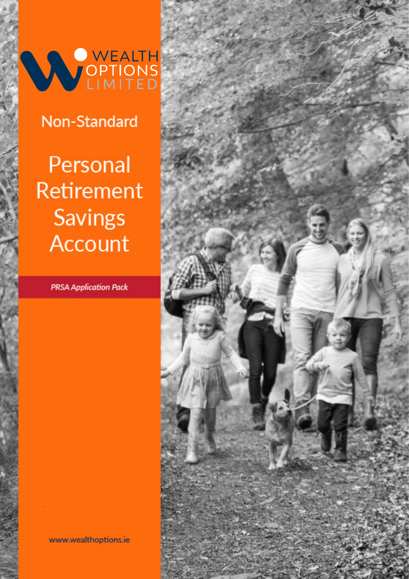WEALTH

# Non-Standard

Personal Retirement **Savings Account** 

**PRSA Application Pack** 

www.wealthoptions.ie

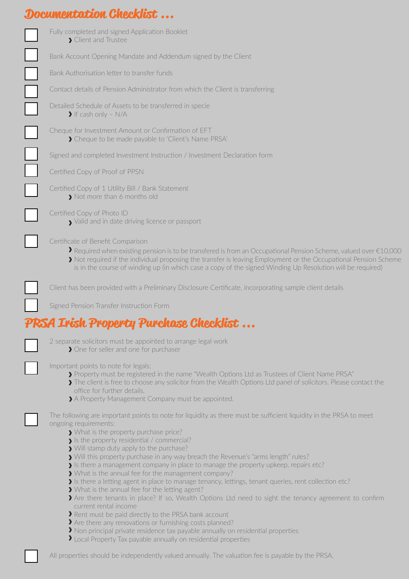## **Documentation Checklist ...**

| Fully completed and signed Application Booklet<br>> Client and Trustee<br>Bank Account Opening Mandate and Addendum signed by the Client<br>Bank Authorisation letter to transfer funds<br>Contact details of Pension Administrator from which the Client is transferring<br>Detailed Schedule of Assets to be transferred in specie<br>$\blacktriangleright$ If cash only - N/A<br>Cheque for Investment Amount or Confirmation of EFT<br>> Cheque to be made payable to 'Client's Name PRSA'<br>Signed and completed Investment Instruction / Investment Declaration form<br>Certified Copy of Proof of PPSN<br>Certified Copy of 1 Utility Bill / Bank Statement<br>> Not more than 6 months old<br>Certified Copy of Photo ID<br>> Valid and in date driving licence or passport<br>Certificate of Benefit Comparison<br>Required when existing pension is to be transfered is from an Occupational Pension Scheme, valued over $\epsilon$ 10,000<br>> Not required if the individual proposing the transfer is leaving Employment or the Occupational Pension Scheme<br>is in the course of winding up (in which case a copy of the signed Winding Up Resolution will be required)<br>Client has been provided with a Preliminary Disclosure Certificate, incorporating sample client details<br>Signed Pension Transfer Instruction Form<br>PRSA Irish Property Purchase Checklist<br>2 separate solicitors must be appointed to arrange legal work<br>> One for seller and one for purchaser<br>Important points to note for legals:<br>> Property must be registered in the name "Wealth Options Ltd as Trustees of Client Name PRSA"<br>The client is free to choose any solicitor from the Wealth Options Ltd panel of solicitors. Please contact the<br>office for further details.<br>A Property Management Company must be appointed.<br>The following are important points to note for liquidity as there must be sufficient liquidity in the PRSA to meet<br>ongoing requirements:<br>What is the property purchase price?<br>> Is the property residential / commercial?<br>> Will stamp duty apply to the purchase?<br>> Will this property purchase in any way breach the Revenue's "arms length" rules?<br>> Is there a management company in place to manage the property upkeep, repairs etc?<br>> What is the annual fee for the management company?<br>Is there a letting agent in place to manage tenancy, lettings, tenant queries, rent collection etc?<br>> What is the annual fee for the letting agent?<br>Are there tenants in place? If so, Wealth Options Ltd need to sight the tenancy agreement to confirm<br>current rental income<br>Rent must be paid directly to the PRSA bank account<br>> Are there any renovations or furnishing costs planned?<br>> Non principal private residence tax payable annually on residential properties<br>I Local Property Tax payable annually on residential properties |  |
|-------------------------------------------------------------------------------------------------------------------------------------------------------------------------------------------------------------------------------------------------------------------------------------------------------------------------------------------------------------------------------------------------------------------------------------------------------------------------------------------------------------------------------------------------------------------------------------------------------------------------------------------------------------------------------------------------------------------------------------------------------------------------------------------------------------------------------------------------------------------------------------------------------------------------------------------------------------------------------------------------------------------------------------------------------------------------------------------------------------------------------------------------------------------------------------------------------------------------------------------------------------------------------------------------------------------------------------------------------------------------------------------------------------------------------------------------------------------------------------------------------------------------------------------------------------------------------------------------------------------------------------------------------------------------------------------------------------------------------------------------------------------------------------------------------------------------------------------------------------------------------------------------------------------------------------------------------------------------------------------------------------------------------------------------------------------------------------------------------------------------------------------------------------------------------------------------------------------------------------------------------------------------------------------------------------------------------------------------------------------------------------------------------------------------------------------------------------------------------------------------------------------------------------------------------------------------------------------------------------------------------------------------------------------------------------------------------------------------------------------------------------------------------------------------------------------------------------------------------------------------------------------------------------------------------------------------|--|
|                                                                                                                                                                                                                                                                                                                                                                                                                                                                                                                                                                                                                                                                                                                                                                                                                                                                                                                                                                                                                                                                                                                                                                                                                                                                                                                                                                                                                                                                                                                                                                                                                                                                                                                                                                                                                                                                                                                                                                                                                                                                                                                                                                                                                                                                                                                                                                                                                                                                                                                                                                                                                                                                                                                                                                                                                                                                                                                                                 |  |
|                                                                                                                                                                                                                                                                                                                                                                                                                                                                                                                                                                                                                                                                                                                                                                                                                                                                                                                                                                                                                                                                                                                                                                                                                                                                                                                                                                                                                                                                                                                                                                                                                                                                                                                                                                                                                                                                                                                                                                                                                                                                                                                                                                                                                                                                                                                                                                                                                                                                                                                                                                                                                                                                                                                                                                                                                                                                                                                                                 |  |
|                                                                                                                                                                                                                                                                                                                                                                                                                                                                                                                                                                                                                                                                                                                                                                                                                                                                                                                                                                                                                                                                                                                                                                                                                                                                                                                                                                                                                                                                                                                                                                                                                                                                                                                                                                                                                                                                                                                                                                                                                                                                                                                                                                                                                                                                                                                                                                                                                                                                                                                                                                                                                                                                                                                                                                                                                                                                                                                                                 |  |
|                                                                                                                                                                                                                                                                                                                                                                                                                                                                                                                                                                                                                                                                                                                                                                                                                                                                                                                                                                                                                                                                                                                                                                                                                                                                                                                                                                                                                                                                                                                                                                                                                                                                                                                                                                                                                                                                                                                                                                                                                                                                                                                                                                                                                                                                                                                                                                                                                                                                                                                                                                                                                                                                                                                                                                                                                                                                                                                                                 |  |
|                                                                                                                                                                                                                                                                                                                                                                                                                                                                                                                                                                                                                                                                                                                                                                                                                                                                                                                                                                                                                                                                                                                                                                                                                                                                                                                                                                                                                                                                                                                                                                                                                                                                                                                                                                                                                                                                                                                                                                                                                                                                                                                                                                                                                                                                                                                                                                                                                                                                                                                                                                                                                                                                                                                                                                                                                                                                                                                                                 |  |
|                                                                                                                                                                                                                                                                                                                                                                                                                                                                                                                                                                                                                                                                                                                                                                                                                                                                                                                                                                                                                                                                                                                                                                                                                                                                                                                                                                                                                                                                                                                                                                                                                                                                                                                                                                                                                                                                                                                                                                                                                                                                                                                                                                                                                                                                                                                                                                                                                                                                                                                                                                                                                                                                                                                                                                                                                                                                                                                                                 |  |
|                                                                                                                                                                                                                                                                                                                                                                                                                                                                                                                                                                                                                                                                                                                                                                                                                                                                                                                                                                                                                                                                                                                                                                                                                                                                                                                                                                                                                                                                                                                                                                                                                                                                                                                                                                                                                                                                                                                                                                                                                                                                                                                                                                                                                                                                                                                                                                                                                                                                                                                                                                                                                                                                                                                                                                                                                                                                                                                                                 |  |
|                                                                                                                                                                                                                                                                                                                                                                                                                                                                                                                                                                                                                                                                                                                                                                                                                                                                                                                                                                                                                                                                                                                                                                                                                                                                                                                                                                                                                                                                                                                                                                                                                                                                                                                                                                                                                                                                                                                                                                                                                                                                                                                                                                                                                                                                                                                                                                                                                                                                                                                                                                                                                                                                                                                                                                                                                                                                                                                                                 |  |
|                                                                                                                                                                                                                                                                                                                                                                                                                                                                                                                                                                                                                                                                                                                                                                                                                                                                                                                                                                                                                                                                                                                                                                                                                                                                                                                                                                                                                                                                                                                                                                                                                                                                                                                                                                                                                                                                                                                                                                                                                                                                                                                                                                                                                                                                                                                                                                                                                                                                                                                                                                                                                                                                                                                                                                                                                                                                                                                                                 |  |
|                                                                                                                                                                                                                                                                                                                                                                                                                                                                                                                                                                                                                                                                                                                                                                                                                                                                                                                                                                                                                                                                                                                                                                                                                                                                                                                                                                                                                                                                                                                                                                                                                                                                                                                                                                                                                                                                                                                                                                                                                                                                                                                                                                                                                                                                                                                                                                                                                                                                                                                                                                                                                                                                                                                                                                                                                                                                                                                                                 |  |
|                                                                                                                                                                                                                                                                                                                                                                                                                                                                                                                                                                                                                                                                                                                                                                                                                                                                                                                                                                                                                                                                                                                                                                                                                                                                                                                                                                                                                                                                                                                                                                                                                                                                                                                                                                                                                                                                                                                                                                                                                                                                                                                                                                                                                                                                                                                                                                                                                                                                                                                                                                                                                                                                                                                                                                                                                                                                                                                                                 |  |
|                                                                                                                                                                                                                                                                                                                                                                                                                                                                                                                                                                                                                                                                                                                                                                                                                                                                                                                                                                                                                                                                                                                                                                                                                                                                                                                                                                                                                                                                                                                                                                                                                                                                                                                                                                                                                                                                                                                                                                                                                                                                                                                                                                                                                                                                                                                                                                                                                                                                                                                                                                                                                                                                                                                                                                                                                                                                                                                                                 |  |
|                                                                                                                                                                                                                                                                                                                                                                                                                                                                                                                                                                                                                                                                                                                                                                                                                                                                                                                                                                                                                                                                                                                                                                                                                                                                                                                                                                                                                                                                                                                                                                                                                                                                                                                                                                                                                                                                                                                                                                                                                                                                                                                                                                                                                                                                                                                                                                                                                                                                                                                                                                                                                                                                                                                                                                                                                                                                                                                                                 |  |
|                                                                                                                                                                                                                                                                                                                                                                                                                                                                                                                                                                                                                                                                                                                                                                                                                                                                                                                                                                                                                                                                                                                                                                                                                                                                                                                                                                                                                                                                                                                                                                                                                                                                                                                                                                                                                                                                                                                                                                                                                                                                                                                                                                                                                                                                                                                                                                                                                                                                                                                                                                                                                                                                                                                                                                                                                                                                                                                                                 |  |
|                                                                                                                                                                                                                                                                                                                                                                                                                                                                                                                                                                                                                                                                                                                                                                                                                                                                                                                                                                                                                                                                                                                                                                                                                                                                                                                                                                                                                                                                                                                                                                                                                                                                                                                                                                                                                                                                                                                                                                                                                                                                                                                                                                                                                                                                                                                                                                                                                                                                                                                                                                                                                                                                                                                                                                                                                                                                                                                                                 |  |
|                                                                                                                                                                                                                                                                                                                                                                                                                                                                                                                                                                                                                                                                                                                                                                                                                                                                                                                                                                                                                                                                                                                                                                                                                                                                                                                                                                                                                                                                                                                                                                                                                                                                                                                                                                                                                                                                                                                                                                                                                                                                                                                                                                                                                                                                                                                                                                                                                                                                                                                                                                                                                                                                                                                                                                                                                                                                                                                                                 |  |
|                                                                                                                                                                                                                                                                                                                                                                                                                                                                                                                                                                                                                                                                                                                                                                                                                                                                                                                                                                                                                                                                                                                                                                                                                                                                                                                                                                                                                                                                                                                                                                                                                                                                                                                                                                                                                                                                                                                                                                                                                                                                                                                                                                                                                                                                                                                                                                                                                                                                                                                                                                                                                                                                                                                                                                                                                                                                                                                                                 |  |

All properties should be independently valued annually. The valuation fee is payable by the PRSA.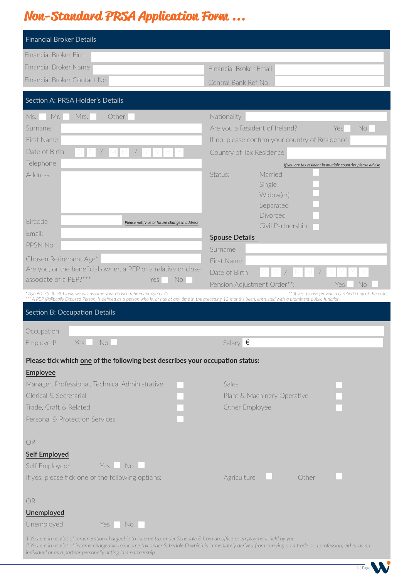# **Non-Standard PRSA Application Form ...**

| <b>Financial Broker Details</b>                                                                                                                                                                                                                                                                                                                            |                                                             |
|------------------------------------------------------------------------------------------------------------------------------------------------------------------------------------------------------------------------------------------------------------------------------------------------------------------------------------------------------------|-------------------------------------------------------------|
| <b>Financial Broker Firm</b>                                                                                                                                                                                                                                                                                                                               |                                                             |
| <b>Financial Broker Name</b>                                                                                                                                                                                                                                                                                                                               | <b>Financial Broker Email</b>                               |
| Financial Broker Contact No                                                                                                                                                                                                                                                                                                                                | Central Bank Ref No                                         |
| Section A: PRSA Holder's Details                                                                                                                                                                                                                                                                                                                           |                                                             |
| Other<br>Mr.<br>Mrs.<br>Ms.                                                                                                                                                                                                                                                                                                                                | Nationality                                                 |
| Surname                                                                                                                                                                                                                                                                                                                                                    | Are you a Resident of Ireland?<br>No.<br>Yes                |
| First Name                                                                                                                                                                                                                                                                                                                                                 | If no, please confirm your country of Residence:            |
| Date of Birth                                                                                                                                                                                                                                                                                                                                              | Country of Tax Residence                                    |
| Telephone                                                                                                                                                                                                                                                                                                                                                  | If you are tax resident in multiple countries please advise |
| <b>Address</b>                                                                                                                                                                                                                                                                                                                                             | Status:<br>Married                                          |
|                                                                                                                                                                                                                                                                                                                                                            | Single                                                      |
|                                                                                                                                                                                                                                                                                                                                                            | Widow(er)<br>Separated                                      |
|                                                                                                                                                                                                                                                                                                                                                            | Divorced                                                    |
| Fircode<br>Please notify us of future change in address                                                                                                                                                                                                                                                                                                    | Civil Partnership                                           |
| Email:                                                                                                                                                                                                                                                                                                                                                     | <b>Spouse Details</b>                                       |
| PPSN No:                                                                                                                                                                                                                                                                                                                                                   | Surname                                                     |
| Chosen Retirement Age*                                                                                                                                                                                                                                                                                                                                     | First Name                                                  |
| Are you, or the beneficial owner, a PEP or a relative or close                                                                                                                                                                                                                                                                                             | Date of Birth                                               |
| associate of a PEP?***<br>No<br>Yes                                                                                                                                                                                                                                                                                                                        | Pension Adjustment Order**:<br>No<br>Yes                    |
| * Age 60-75. If left blank, we will assume your chosen retirement age is 75.<br>*** A PEP (Politically Exposed Person) is defined as a person who is, or has at any time in the preceding 12 months been, entrusted with a prominent public function.                                                                                                      | ** If yes, please provide a certified copy of the order.    |
| Section B: Occupation Details                                                                                                                                                                                                                                                                                                                              |                                                             |
|                                                                                                                                                                                                                                                                                                                                                            |                                                             |
| Occupation                                                                                                                                                                                                                                                                                                                                                 |                                                             |
| Employed <sup>1</sup><br>No.<br>Yes                                                                                                                                                                                                                                                                                                                        | Salary $\epsilon$                                           |
| Please tick which one of the following best describes your occupation status:                                                                                                                                                                                                                                                                              |                                                             |
| Employee                                                                                                                                                                                                                                                                                                                                                   |                                                             |
| Manager, Professional, Technical Administrative                                                                                                                                                                                                                                                                                                            | Sales                                                       |
| Clerical & Secretarial                                                                                                                                                                                                                                                                                                                                     | Plant & Machinery Operative                                 |
| Trade, Craft & Related                                                                                                                                                                                                                                                                                                                                     | Other Employee                                              |
| Personal & Protection Services                                                                                                                                                                                                                                                                                                                             |                                                             |
| OR                                                                                                                                                                                                                                                                                                                                                         |                                                             |
| <b>Self Employed</b>                                                                                                                                                                                                                                                                                                                                       |                                                             |
| Self Employed <sup>2</sup><br>No.<br>Yes                                                                                                                                                                                                                                                                                                                   |                                                             |
| If yes, please tick one of the following options:                                                                                                                                                                                                                                                                                                          | Agriculture<br>Other                                        |
| OR                                                                                                                                                                                                                                                                                                                                                         |                                                             |
| Unemployed                                                                                                                                                                                                                                                                                                                                                 |                                                             |
| Unemployed<br>No.<br>Yes                                                                                                                                                                                                                                                                                                                                   |                                                             |
| 1 You are in receipt of remuneration chargeable to income tax under Schedule E from an office or employment held by you.<br>2 You are in receipt of income chargeable to income tax under Schedule D which is immediately derived from carrying on a trade or a profession, either as an<br>individual or as a partner personally acting in a partnership. |                                                             |

3 | Page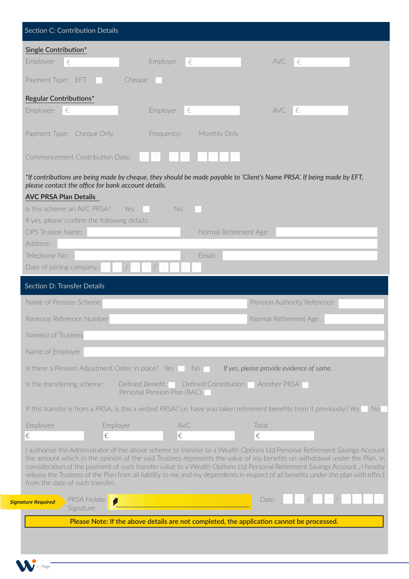| Single Contribution*                                                                                                                                                                                                                                                                                                                                                                                                                                                                                                                                        |                       |                                                                                      |                        |                                          |                                                                      |
|-------------------------------------------------------------------------------------------------------------------------------------------------------------------------------------------------------------------------------------------------------------------------------------------------------------------------------------------------------------------------------------------------------------------------------------------------------------------------------------------------------------------------------------------------------------|-----------------------|--------------------------------------------------------------------------------------|------------------------|------------------------------------------|----------------------------------------------------------------------|
| Employee<br>$\in$                                                                                                                                                                                                                                                                                                                                                                                                                                                                                                                                           |                       | Employer<br>€                                                                        |                        | <b>AVC</b><br>$\in$                      |                                                                      |
| Payment Type: EFT                                                                                                                                                                                                                                                                                                                                                                                                                                                                                                                                           |                       | Cheque                                                                               |                        |                                          |                                                                      |
| <b>Regular Contributions*</b>                                                                                                                                                                                                                                                                                                                                                                                                                                                                                                                               |                       |                                                                                      |                        |                                          |                                                                      |
| Employee<br>$\in$                                                                                                                                                                                                                                                                                                                                                                                                                                                                                                                                           |                       | Employer<br>€                                                                        |                        | <b>AVC</b><br>$\epsilon$                 |                                                                      |
| Payment Type: Cheque Only                                                                                                                                                                                                                                                                                                                                                                                                                                                                                                                                   |                       | Frequency:                                                                           | Monthly Only           |                                          |                                                                      |
| Commencement Contribution Date:                                                                                                                                                                                                                                                                                                                                                                                                                                                                                                                             |                       |                                                                                      |                        |                                          |                                                                      |
| *If contributions are being made by cheque, they should be made payable to 'Client's Name PRSA'. If being made by EFT,<br>please contact the office for bank account details.<br><b>AVC PRSA Plan Details</b><br>Is this scheme an AVC PRSA?                                                                                                                                                                                                                                                                                                                | - Yes                 | No                                                                                   |                        |                                          |                                                                      |
| If yes, please confirm the following details:                                                                                                                                                                                                                                                                                                                                                                                                                                                                                                               |                       |                                                                                      |                        |                                          |                                                                      |
| OPS Trustee Name:<br>Address:                                                                                                                                                                                                                                                                                                                                                                                                                                                                                                                               |                       |                                                                                      | Normal Retirement Age: |                                          |                                                                      |
| Telephone No:                                                                                                                                                                                                                                                                                                                                                                                                                                                                                                                                               |                       |                                                                                      | Email:                 |                                          |                                                                      |
| Date of joining company:                                                                                                                                                                                                                                                                                                                                                                                                                                                                                                                                    |                       |                                                                                      |                        |                                          |                                                                      |
| <b>Section D: Transfer Details</b>                                                                                                                                                                                                                                                                                                                                                                                                                                                                                                                          |                       |                                                                                      |                        |                                          |                                                                      |
| Name of Pension Scheme                                                                                                                                                                                                                                                                                                                                                                                                                                                                                                                                      |                       |                                                                                      |                        | Pension Authority Reference              |                                                                      |
| Revenue Reference Number                                                                                                                                                                                                                                                                                                                                                                                                                                                                                                                                    |                       |                                                                                      |                        | Normal Retirement Age                    |                                                                      |
| Name(s) of Trustees                                                                                                                                                                                                                                                                                                                                                                                                                                                                                                                                         |                       |                                                                                      |                        |                                          |                                                                      |
| Name of Employer                                                                                                                                                                                                                                                                                                                                                                                                                                                                                                                                            |                       |                                                                                      |                        |                                          |                                                                      |
| Is there a Pension Adjustment Order in place? Yes No                                                                                                                                                                                                                                                                                                                                                                                                                                                                                                        |                       |                                                                                      |                        | If yes, please provide evidence of same. |                                                                      |
| Is the transferring scheme:                                                                                                                                                                                                                                                                                                                                                                                                                                                                                                                                 |                       | Defined Benefit   Defined Contribution   Another PRSA<br>Personal Pension Plan (RAC) |                        |                                          |                                                                      |
| If this transfer is from a PRSA, is this a vested PRSA? i.e. have you taken retirement benefits from it previously? Yes                                                                                                                                                                                                                                                                                                                                                                                                                                     |                       |                                                                                      |                        |                                          |                                                                      |
| Employee                                                                                                                                                                                                                                                                                                                                                                                                                                                                                                                                                    | Employer              | AVC                                                                                  |                        | Total                                    |                                                                      |
| €                                                                                                                                                                                                                                                                                                                                                                                                                                                                                                                                                           | $\in$                 | €                                                                                    |                        | €                                        |                                                                      |
| I authorise the Administrator of the above scheme to transfer to a Wealth Options Ltd Personal Retirement Savings Account<br>the amount which in the opinion of the said Trustees represents the value of my benefits on withdrawal under the Plan. In<br>consideration of the payment of such transfer value to a Wealth Options Ltd Personal Retirement Savings Account, I hereby<br>release the Trustees of the Plan from all liability to me and my dependents in respect of all benefits under the plan with effect<br>from the date of such transfer. |                       |                                                                                      |                        |                                          |                                                                      |
| <b>PRSA Holder</b><br><b>Signature Required</b><br>Signature                                                                                                                                                                                                                                                                                                                                                                                                                                                                                                | $\boldsymbol{\theta}$ |                                                                                      |                        | Date:                                    | $\begin{array}{c c c c c c} & D & D & J & M & M & J & Y \end{array}$ |
|                                                                                                                                                                                                                                                                                                                                                                                                                                                                                                                                                             |                       |                                                                                      |                        |                                          |                                                                      |

**4** | Page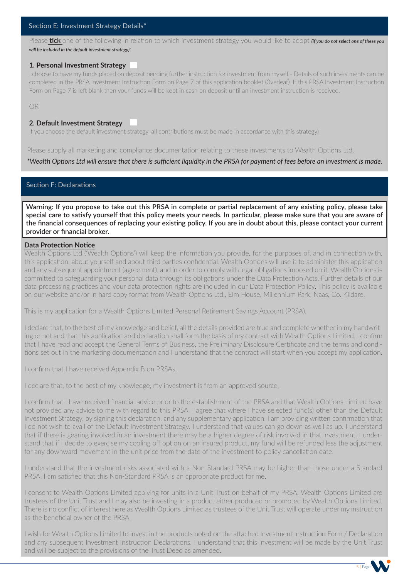#### Section E: Investment Strategy Details\*

Please **tick** one of the following in relation to which investment strategy you would like to adopt *(if you do not select one of these you will be included in the default investment strategy)*:

#### **1. Personal Investment Strategy**

I choose to have my funds placed on deposit pending further instruction for investment from myself - Details of such investments can be completed in the PRSA Investment Instruction Form on Page 7 of this application booklet (0verleaf). If this PRSA Investment Instruction Form on Page 7 is left blank then your funds will be kept in cash on deposit until an investment instruction is received.

OR

#### **2. Default Investment Strategy**

If you choose the default investment strategy, all contributions must be made in accordance with this strategy)

Please supply all marketing and compliance documentation relating to these investments to Wealth Options Ltd.

*\*Wealth Options Ltd will ensure that there is sufficient liquidity in the PRSA for payment of fees before an investment is made.*

#### Section F: Declarations

**Warning: If you propose to take out this PRSA in complete or partial replacement of any existing policy, please take special care to satisfy yourself that this policy meets your needs. In particular, please make sure that you are aware of the financial consequences of replacing your existing policy. If you are in doubt about this, please contact your current provider or financial broker.**

#### **Data Protection Notice**

Wealth Options Ltd ('Wealth Options') will keep the information you provide, for the purposes of, and in connection with, this application, about yourself and about third parties confidential. Wealth Options will use it to administer this application and any subsequent appointment (agreement), and in order to comply with legal obligations imposed on it. Wealth Options is committed to safeguarding your personal data through its obligations under the Data Protection Acts. Further details of our data processing practices and your data protection rights are included in our Data Protection Policy. This policy is available on our website and/or in hard copy format from Wealth Options Ltd., Elm House, Millennium Park, Naas, Co. Kildare.

This is my application for a Wealth Options Limited Personal Retirement Savings Account (PRSA). 

I declare that, to the best of my knowledge and belief, all the details provided are true and complete whether in my handwriting or not and that this application and declaration shall form the basis of my contract with Wealth Options Limited. I confirm that I have read and accept the General Terms of Business, the Preliminary Disclosure Certificate and the terms and conditions set out in the marketing documentation and I understand that the contract will start when you accept my application.

I confirm that I have received Appendix B on PRSAs.

I declare that, to the best of my knowledge, my investment is from an approved source. 

I confirm that I have received financial advice prior to the establishment of the PRSA and that Wealth Options Limited have not provided any advice to me with regard to this PRSA. I agree that where I have selected fund(s) other than the Default Investment Strategy, by signing this declaration, and any supplementary application, I am providing written confirmation that I do not wish to avail of the Default Investment Strategy. I understand that values can go down as well as up. I understand that if there is gearing involved in an investment there may be a higher degree of risk involved in that investment. I understand that if I decide to exercise my cooling off option on an insured product, my fund will be refunded less the adjustment for any downward movement in the unit price from the date of the investment to policy cancellation date.

I understand that the investment risks associated with a Non-Standard PRSA may be higher than those under a Standard PRSA. I am satisfied that this Non-Standard PRSA is an appropriate product for me.

I consent to Wealth Options Limited applying for units in a Unit Trust on behalf of my PRSA. Wealth Options Limited are trustees of the Unit Trust and I may also be investing in a product either produced or promoted by Wealth Options Limited. There is no conflict of interest here as Wealth Options Limited as trustees of the Unit Trust will operate under my instruction as the beneficial owner of the PRSA. 

I wish for Wealth Options Limited to invest in the products noted on the attached Investment Instruction Form / Declaration and any subsequent Investment Instruction Declarations. I understand that this investment will be made by the Unit Trust and will be subject to the provisions of the Trust Deed as amended. 

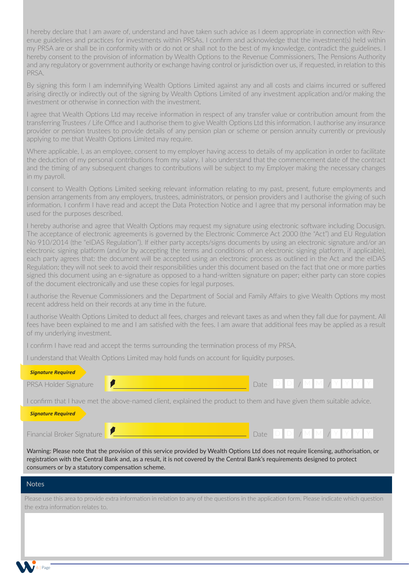I hereby declare that I am aware of, understand and have taken such advice as I deem appropriate in connection with Revenue guidelines and practices for investments within PRSAs. I confirm and acknowledge that the investment(s) held within my PRSA are or shall be in conformity with or do not or shall not to the best of my knowledge, contradict the guidelines. I hereby consent to the provision of information by Wealth Options to the Revenue Commissioners, The Pensions Authority and any regulatory or government authority or exchange having control or jurisdiction over us, if requested, in relation to this PRSA.

By signing this form I am indemnifying Wealth Options Limited against any and all costs and claims incurred or suffered arising directly or indirectly out of the signing by Wealth Options Limited of any investment application and/or making the investment or otherwise in connection with the investment. 

I agree that Wealth Options Ltd may receive information in respect of any transfer value or contribution amount from the transferring Trustees / Life Office and I authorise them to give Wealth Options Ltd this information. I authorise any insurance provider or pension trustees to provide details of any pension plan or scheme or pension annuity currently or previously applying to me that Wealth Options Limited may require.

Where applicable, I, as an employee, consent to my employer having access to details of my application in order to facilitate the deduction of my personal contributions from my salary. I also understand that the commencement date of the contract and the timing of any subsequent changes to contributions will be subject to my Employer making the necessary changes in my payroll.

I consent to Wealth Options Limited seeking relevant information relating to my past, present, future employments and pension arrangements from any employers, trustees, administrators, or pension providers and I authorise the giving of such information. I confirm I have read and accept the Data Protection Notice and I agree that my personal information may be used for the purposes described.

I hereby authorise and agree that Wealth Options may request my signature using electronic software including Docusign. The acceptance of electronic agreements is governed by the Electronic Commerce Act 2000 (the "Act") and EU Regulation No 910/2014 (the "eIDAS Regulation"). If either party accepts/signs documents by using an electronic signature and/or an electronic signing platform (and/or by accepting the terms and conditions of an electronic signing platform, if applicable), each party agrees that: the document will be accepted using an electronic process as outlined in the Act and the eIDAS Regulation; they will not seek to avoid their responsibilities under this document based on the fact that one or more parties signed this document using an e-signature as opposed to a hand-written signature on paper; either party can store copies of the document electronically and use these copies for legal purposes.

I authorise the Revenue Commissioners and the Department of Social and Family Affairs to give Wealth Options my most recent address held on their records at any time in the future. 

I authorise Wealth Options Limited to deduct all fees, charges and relevant taxes as and when they fall due for payment. All fees have been explained to me and I am satisfied with the fees. I am aware that additional fees may be applied as a result of my underlying investment. 

I confirm I have read and accept the terms surrounding the termination process of my PRSA. 

I understand that Wealth Options Limited may hold funds on account for liquidity purposes. 

#### *Signature Required*



I confirm that I have met the above-named client, explained the product to them and have given them suitable advice. 

#### *Signature Required*



Warning: Please note that the provision of this service provided by Wealth Options Ltd does not require licensing, authorisation, or registration with the Central Bank and, as a result, it is not covered by the Central Bank's requirements designed to protect consumers or by a statutory compensation scheme.

 $\neg M M J Y Y Y$ 

#### Notes

6 | Page

Please use this area to provide extra information in relation to any of the questions in the application form. Please indicate which question the extra information relates to.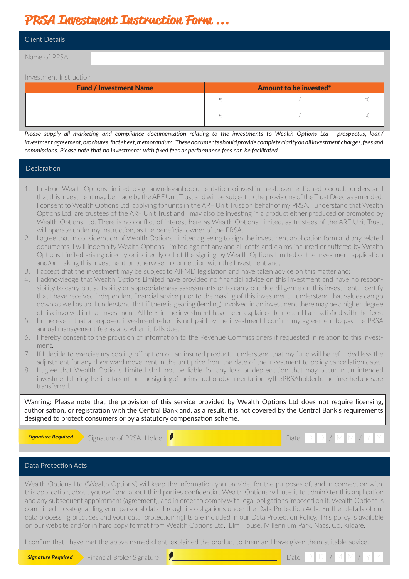## **PRSA Investment Instruction Form ...**

| <b>Client Details</b>         |   |                               |   |
|-------------------------------|---|-------------------------------|---|
| Name of PRSA                  |   |                               |   |
| Investment Instruction        |   |                               |   |
| <b>Fund / Investment Name</b> |   | <b>Amount to be invested*</b> |   |
|                               | € |                               | % |
|                               |   |                               | % |

*Please supply all marketing and compliance documentation relating to the investments to Wealth Options Ltd - prospectus, loan/ investment agreement, brochures, fact sheet, memorandum. These documents should provide complete clarity on all investment charges, fees and commissions. Please note that no investments with fixed fees or performance fees can be facilitated.* 

### Declaration

- 1. IinstructWealthOptionsLimitedtosignanyrelevantdocumentationtoinvestintheabovementionedproduct. Iunderstand that this investment may be made by theARF Unit Trust and will be subject to the provisions ofthe Trust Deed as amended. I consent to Wealth Options Ltd. applying for units in the ARF Unit Trust on behalf of my PRSA. I understand that Wealth Options Ltd. are trustees of the ARF Unit Trust and I may also be investing in a product either produced or promoted by Wealth Options Ltd. There is no conflict of interest here as Wealth Options Limited, as trustees of the ARF Unit Trust, will operate under my instruction, as the beneficial owner of the PRSA.
- 2. I agree that in consideration of Wealth Options Limited agreeing to sign the investment application form and any related documents, I will indemnify Wealth Options Limited against any and all costs and claims incurred or suffered by Wealth Options Limited arising directly or indirectly out of the signing by Wealth Options Limited of the investment application and/or making this Investment or otherwise in connection with the Investment and;
- 3. I accept that the investment may be subject to AIFMD legislation and have taken advice on this matter and;
- 4. I acknowledge that Wealth Options Limited have provided no financial advice on this investment and have no responsibility to carry out suitability or appropriateness assessments or to carry out due diligence on this investment. I certify that I have received independent financial advice prior to the making of this investment. I understand that values can go down as well as up. I understand that if there is gearing (lending) involved in an investment there may be a higher degree of risk involved in that investment. All fees in the investment have been explained to me and I am satisfied with the fees.
- 5. In the event that a proposed investment return is not paid by the investment I confirm my agreement to pay the PRSA annual management fee as and when it falls due.
- 6. I hereby consent to the provision of information to the Revenue Commissioners if requested in relation to this investment.
- 7. If I decide to exercise my cooling off option on an insured product, I understand that my fund will be refunded less the adjustment for any downward movement in the unit price from the date of the investment to policy cancellation date.
- 8. I agree that Wealth Options Limited shall not be liable for any loss or depreciation that may occur in an intended investmentduringthetimetakenfromthesigningoftheinstructiondocumentationbythePRSAholdertothetimethefundsare transferred.

Warning: Please note that the provision of this service provided by Wealth Options Ltd does not require licensing, authorisation, or registration with the Central Bank and, as a result, it is not covered by the Central Bank's requirements designed to protect consumers or by a statutory compensation scheme.

**Signature Required** Signature of PRSA Holder **P And M M M M M M M M M M M M M M M M M M** M M M M M M M M M M M

### Data Protection Acts

Wealth Options Ltd ('Wealth Options') will keep the information you provide, for the purposes of, and in connection with, this application, about yourself and about third parties confidential. Wealth Options will use it to administer this application and any subsequent appointment (agreement), and in order to comply with legal obligations imposed on it. Wealth Options is committed to safeguarding your personal data through its obligations under the Data Protection Acts. Further details of our data processing practices and your data protection rights are included in our Data Protection Policy. This policy is available on our website and/or in hard copy format from Wealth Options Ltd., Elm House, Millennium Park, Naas, Co. Kildare.

I confirm that I have met the above named client, explained the product to them and have given them suitable advice.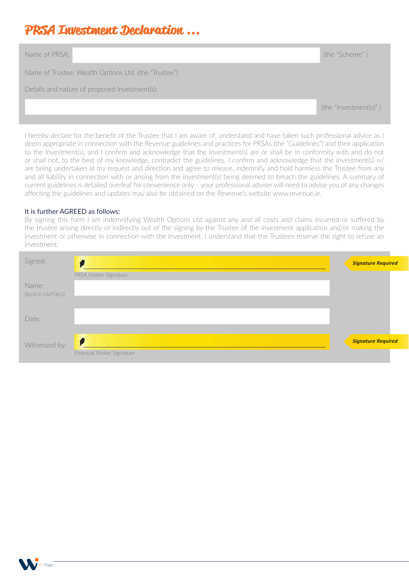## **PRSA Investment Declaration ...**

| Name of PRSA:                                        | (the "Scheme")         |  |  |
|------------------------------------------------------|------------------------|--|--|
| Name of Trustee: Wealth Options Ltd. (the "Trustee") |                        |  |  |
| Details and nature of proposed investment(s):        |                        |  |  |
|                                                      | (the "Investment(s)" ) |  |  |

I hereby declare for the benefit of the Trustee that I am aware of, understand and have taken such professional advice as I deem appropriate in connection with the Revenue guidelines and practices for PRSAs (the "Guidelines") and their application to the Investment(s), and I confirm and acknowledge that the Investment(s) are or shall be in conformity with and do not or shall not, to the best of my knowledge, contradict the guidelines. I confirm and acknowledge that the investment(s) is/ are being undertaken at my request and direction and agree to release, indemnify and hold harmless the Trustee from any and all liability in connection with or arising from the investment(s) being deemed to breach the guidelines. A summary of current guidelines is detailed overleaf for convenience only – your professional adviser will need to advise you of any changes affecting the guidelines and updates may also be obtained on the Revenue's website www.revenue.ie.

### It is further AGREED as follows:

By signing this form I am indemnifying Wealth Options Ltd against any and all costs and claims incurred or suffered by the trustee arising directly or indirectly out of the signing by the Trustee of the investment application and/or making the investment or otherwise in connection with the Investment. I understand that the Trustees reserve the right to refuse an investment.

| Signed:          |                            | <b>Signature Required</b> |
|------------------|----------------------------|---------------------------|
|                  | PRSA Holder Signature      |                           |
| Name:            |                            |                           |
| [BLOCK CAPITALS] |                            |                           |
| Date:            |                            |                           |
|                  |                            |                           |
| Witnessed by:    | V.                         | <b>Signature Required</b> |
|                  | Financial Broker Signature |                           |

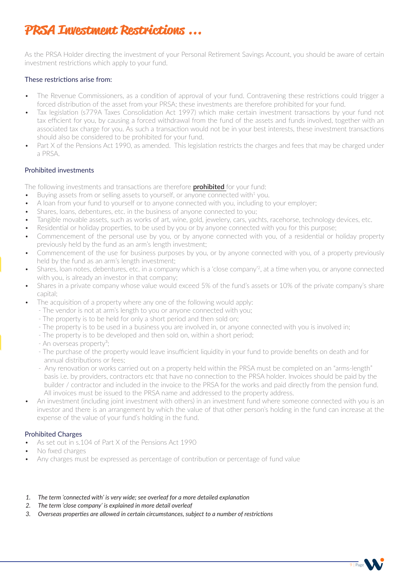## **PRSA Investment Restrictions ...**

As the PRSA Holder directing the investment of your Personal Retirement Savings Account, you should be aware of certain investment restrictions which apply to your fund.

### These restrictions arise from:

- The Revenue Commissioners, as a condition of approval of your fund. Contravening these restrictions could trigger a forced distribution of the asset from your PRSA; these investments are therefore prohibited for your fund.
- Tax legislation (s779A Taxes Consolidation Act 1997) which make certain investment transactions by your fund not tax efficient for you, by causing a forced withdrawal from the fund of the assets and funds involved, together with an associated tax charge for you. As such a transaction would not be in your best interests, these investment transactions should also be considered to be prohibited for your fund.
- Part X of the Pensions Act 1990, as amended. This legislation restricts the charges and fees that may be charged under a PRSA.

### Prohibited investments

The following investments and transactions are therefore **prohibited** for your fund:

- Buying assets from or selling assets to yourself, or anyone connected with $1$  you.
- A loan from your fund to yourself or to anyone connected with you, including to your employer;
- Shares, loans, debentures, etc. in the business of anyone connected to you;
- Tangible movable assets, such as works of art, wine, gold, jewelery, cars, yachts, racehorse, technology devices, etc.
- Residential or holiday properties, to be used by you or by anyone connected with you for this purpose;
- Commencement of the personal use by you, or by anyone connected with you, of a residential or holiday property previously held by the fund as an arm's length investment;
- Commencement of the use for business purposes by you, or by anyone connected with you, of a property previously held by the fund as an arm's length investment;
- Shares, loan notes, debentures, etc. in a company which is a 'close company'2, at a time when you, or anyone connected with you, is already an investor in that company;
- Shares in a private company whose value would exceed 5% of the fund's assets or 10% of the private company's share capital;
- The acquisition of a property where any one of the following would apply:
	- The vendor is not at arm's length to you or anyone connected with you;
	- The property is to be held for only a short period and then sold on;
	- The property is to be used in a business you are involved in, or anyone connected with you is involved in;
	- The property is to be developed and then sold on, within a short period;
	- An overseas property<sup>3</sup>;
	- The purchase of the property would leave insufficient liquidity in your fund to provide benefits on death and for annual distributions or fees;
	- Any renovation or works carried out on a property held within the PRSA must be completed on an "arms-length" basis i.e. by providers, contractors etc that have no connection to the PRSA holder. Invoices should be paid by the builder / contractor and included in the invoice to the PRSA for the works and paid directly from the pension fund. All invoices must be issued to the PRSA name and addressed to the property address.
- An investment (including joint investment with others) in an investment fund where someone connected with you is an investor and there is an arrangement by which the value of that other person's holding in the fund can increase at the expense of the value of your fund's holding in the fund.

#### Prohibited Charges

- As set out in s.104 of Part X of the Pensions Act 1990
- No fixed charges
- Any charges must be expressed as percentage of contribution or percentage of fund value
- *1. The term 'connected with' is very wide; see overleaf for a more detailed explanation*
- *2. The term 'close company' is explained in more detail overleaf*
- *3. Overseas properties are allowed in certain circumstances, subject to a number of restrictions*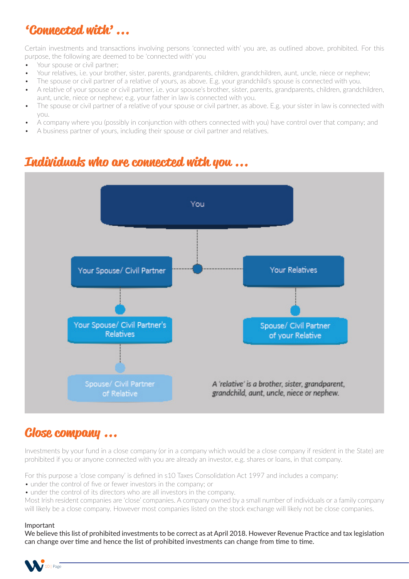## **'Connected with' ...**

Certain investments and transactions involving persons 'connected with' you are, as outlined above, prohibited. For this purpose, the following are deemed to be 'connected with' you

- Your spouse or civil partner;
- Your relatives, i.e. your brother, sister, parents, grandparents, children, grandchildren, aunt, uncle, niece or nephew;
- The spouse or civil partner of a relative of yours, as above. E.g. your grandchild's spouse is connected with you.
- A relative of your spouse or civil partner, i.e. your spouse's brother, sister, parents, grandparents, children, grandchildren, aunt, uncle, niece or nephew; e.g. your father in law is connected with you.
- The spouse or civil partner of a relative of your spouse or civil partner, as above. E.g. your sister in law is connected with you.
- A company where you (possibly in conjunction with others connected with you) have control over that company; and
- A business partner of yours, including their spouse or civil partner and relatives.

### **Individuals who are connected with you ...**



### **Close company ...**

Investments by your fund in a close company (or in a company which would be a close company if resident in the State) are prohibited if you or anyone connected with you are already an investor, e.g. shares or loans, in that company.

For this purpose a 'close company' is defined in s10 Taxes Consolidation Act 1997 and includes a company:

- under the control of five or fewer investors in the company; or
- under the control of its directors who are all investors in the company.

Most Irish resident companies are 'close' companies. A company owned by a small number of individuals or a family company will likely be a close company. However most companies listed on the stock exchange will likely not be close companies.

#### Important

We believe this list of prohibited investments to be correct as at April 2018. However Revenue Practice and tax legislation can change over time and hence the list of prohibited investments can change from time to time.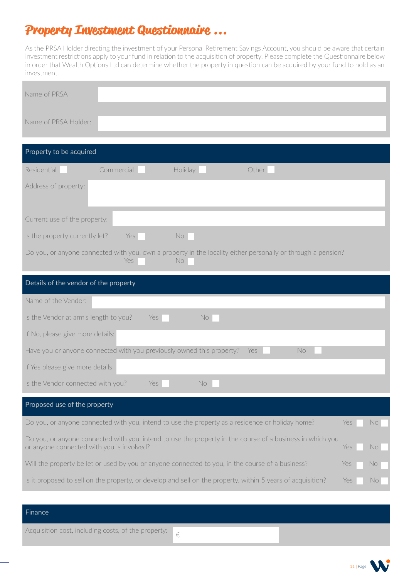## **Property Investment Questionnaire ...**

As the PRSA Holder directing the investment of your Personal Retirement Savings Account, you should be aware that certain investment restrictions apply to your fund in relation to the acquisition of property. Please complete the Questionnaire below in order that Wealth Options Ltd can determine whether the property in question can be acquired by your fund to hold as an investment.

| Name of PRSA                                                                                                                                                         |
|----------------------------------------------------------------------------------------------------------------------------------------------------------------------|
| Name of PRSA Holder:                                                                                                                                                 |
| Property to be acquired                                                                                                                                              |
| Residential<br>Commercial<br>Other<br>Holiday                                                                                                                        |
| Address of property:                                                                                                                                                 |
| Current use of the property:                                                                                                                                         |
| Is the property currently let?<br>No<br>Yes                                                                                                                          |
| Do you, or anyone connected with you, own a property in the locality either personally or through a pension?<br>Yes<br>No.                                           |
| Details of the vendor of the property                                                                                                                                |
| Name of the Vendor:                                                                                                                                                  |
| Is the Vendor at arm's length to you?<br>No<br>Yes                                                                                                                   |
| If No, please give more details:                                                                                                                                     |
| Have you or anyone connected with you previously owned this property?<br>No<br>Yes                                                                                   |
| If Yes please give more details                                                                                                                                      |
| Is the Vendor connected with you?<br>No.<br>Yes                                                                                                                      |
| Proposed use of the property                                                                                                                                         |
| Do you, or anyone connected with you, intend to use the property as a residence or holiday home?<br>Yes<br>No.                                                       |
| Do you, or anyone connected with you, intend to use the property in the course of a business in which you<br>or anyone connected with you is involved?<br>Yes<br>No. |
| Will the property be let or used by you or anyone connected to you, in the course of a business?<br>Yes<br>No                                                        |
| Is it proposed to sell on the property, or develop and sell on the property, within 5 years of acquisition?<br>Yes<br>No.                                            |
|                                                                                                                                                                      |
| Finance                                                                                                                                                              |

€

Acquisition cost, including costs, of the property: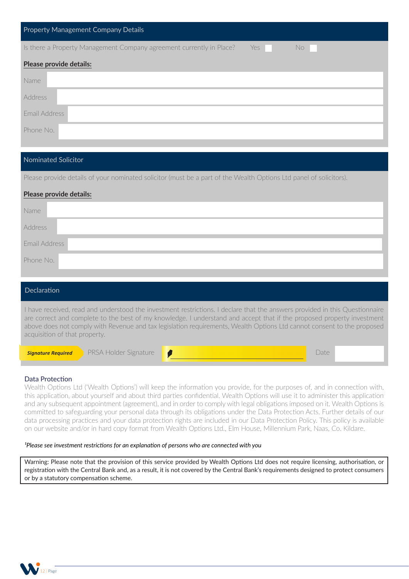| Property Management Company Details                                                |
|------------------------------------------------------------------------------------|
| Is there a Property Management Company agreement currently in Place?<br>Yes<br>No. |
| Please provide details:                                                            |
| Name                                                                               |
| <b>Address</b>                                                                     |
| Email Address                                                                      |
| Phone No.                                                                          |

#### Nominated Solicitor

Please provide details of your nominated solicitor (must be a part of the Wealth Options Ltd panel of solicitors).

#### **Please provide details:**

| Name          |
|---------------|
| Address       |
| Email Address |
| Phone No.     |
|               |

| <b>Declaration</b>                                                                                                                                                                                                                                                                                                                                                                                               |
|------------------------------------------------------------------------------------------------------------------------------------------------------------------------------------------------------------------------------------------------------------------------------------------------------------------------------------------------------------------------------------------------------------------|
| I have received, read and understood the investment restrictions. I declare that the answers provided in this Questionnaire<br>are correct and complete to the best of my knowledge. I understand and accept that if the proposed property investment<br>above does not comply with Revenue and tax legislation requirements, Wealth Options Ltd cannot consent to the proposed<br>acquisition of that property. |

**PRSA Holder Signature**  *i* 

### Data Protection

*Signature Required*

Wealth Options Ltd ('Wealth Options') will keep the information you provide, for the purposes of, and in connection with, this application, about yourself and about third parties confidential. Wealth Options will use it to administer this application and any subsequent appointment (agreement), and in order to comply with legal obligations imposed on it. Wealth Options is committed to safeguarding your personal data through its obligations under the Data Protection Acts. Further details of our data processing practices and your data protection rights are included in our Data Protection Policy. This policy is available on our website and/or in hard copy format from Wealth Options Ltd., Elm House, Millennium Park, Naas, Co. Kildare.

#### <sup>1</sup>Please see investment restrictions for an explanation of persons who are connected with you

Warning: Please note that the provision of this service provided by Wealth Options Ltd does not require licensing, authorisation, or registration with the Central Bank and, as a result, it is not covered by the Central Bank's requirements designed to protect consumers or by a statutory compensation scheme.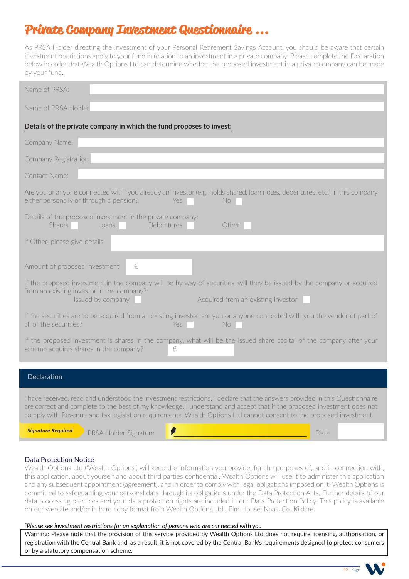## **Private Company Investment Questionnaire ...**

As PRSA Holder directing the investment of your Personal Retirement Savings Account, you should be aware that certain investment restrictions apply to your fund in relation to an investment in a private company. Please complete the Declaration below in order that Wealth Options Ltd can determine whether the proposed investment in a private company can be made by your fund.

| Name of PRSA:                                                                                                                                                                                                                                                                                                                                                                |
|------------------------------------------------------------------------------------------------------------------------------------------------------------------------------------------------------------------------------------------------------------------------------------------------------------------------------------------------------------------------------|
| Name of PRSA Holder                                                                                                                                                                                                                                                                                                                                                          |
| Details of the private company in which the fund proposes to invest:                                                                                                                                                                                                                                                                                                         |
| Company Name:                                                                                                                                                                                                                                                                                                                                                                |
| Company Registration                                                                                                                                                                                                                                                                                                                                                         |
| Contact Name:                                                                                                                                                                                                                                                                                                                                                                |
| Are you or anyone connected with <sup>1</sup> you already an investor (e.g. holds shared, loan notes, debentures, etc.) in this company<br>either personally or through a pension?<br>Yes<br>No.                                                                                                                                                                             |
| Details of the proposed investment in the private company:<br>Shares<br>Loans<br>Debentures<br>Other                                                                                                                                                                                                                                                                         |
| If Other, please give details                                                                                                                                                                                                                                                                                                                                                |
| Amount of proposed investment:<br>€                                                                                                                                                                                                                                                                                                                                          |
| If the proposed investment in the company will be by way of securities, will they be issued by the company or acquired<br>from an existing investor in the company?:<br>Issued by company<br>Acquired from an existing investor                                                                                                                                              |
| If the securities are to be acquired from an existing investor, are you or anyone connected with you the vendor of part of<br>all of the securities?<br>No<br>Yes                                                                                                                                                                                                            |
| If the proposed investment is shares in the company, what will be the issued share capital of the company after your<br>scheme acquires shares in the company?<br>€                                                                                                                                                                                                          |
| Declaration                                                                                                                                                                                                                                                                                                                                                                  |
|                                                                                                                                                                                                                                                                                                                                                                              |
| I have received, read and understood the investment restrictions. I declare that the answers provided in this Questionnaire<br>are correct and complete to the best of my knowledge. I understand and accept that if the proposed investment does not<br>comply with Revenue and tax legislation requirements, Wealth Options Ltd cannot consent to the proposed investment. |

*Signature Required*

Ī

PRSA Holder Signature *I* **D Date** *C* 

I

#### Data Protection Notice

Wealth Options Ltd ('Wealth Options') will keep the information you provide, for the purposes of, and in connection with, this application, about yourself and about third parties confidential. Wealth Options will use it to administer this application and any subsequent appointment (agreement), and in order to comply with legal obligations imposed on it. Wealth Options is committed to safeguarding your personal data through its obligations under the Data Protection Acts. Further details of our data processing practices and your data protection rights are included in our Data Protection Policy. This policy is available on our website and/or in hard copy format from Wealth Options Ltd., Elm House, Naas, Co. Kildare.

#### *Please see investment restrictions for an explanation of persons who are connected with you*

Warning: Please note that the provision of this service provided by Wealth Options Ltd does not require licensing, authorisation, or registration with the Central Bank and, as a result, it is not covered by the Central Bank's requirements designed to protect consumers or by a statutory compensation scheme.

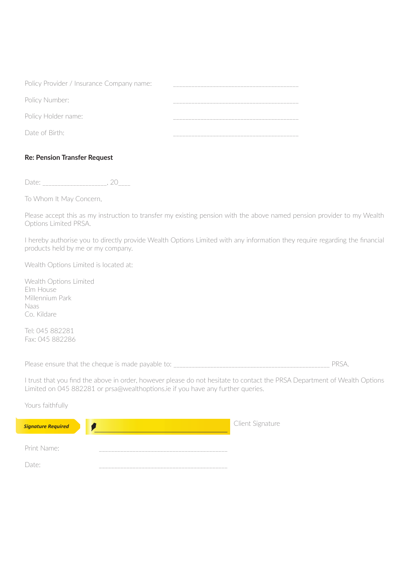| Policy Provider / Insurance Company name: |  |
|-------------------------------------------|--|
| Policy Number:                            |  |
| Policy Holder name:                       |  |
| Date of Birth:                            |  |

### **Re: Pension Transfer Request**

Date: \_\_\_\_\_\_\_\_\_\_\_\_\_\_\_\_\_\_\_\_\_, 20\_\_\_\_

To Whom It May Concern,

Please accept this as my instruction to transfer my existing pension with the above named pension provider to my Wealth Options Limited PRSA.

I hereby authorise you to directly provide Wealth Options Limited with any information they require regarding the financial products held by me or my company.

Wealth Options Limited is located at:

Wealth Options Limited Elm House Millennium Park Naas Co. Kildare

Tel: 045 882281 Fax: 045 882286

Please ensure that the cheque is made payable to: \_\_\_\_\_\_\_\_\_\_\_\_\_\_\_\_\_\_\_\_\_\_\_\_\_\_\_\_\_\_\_\_\_\_\_\_\_\_\_\_\_\_\_\_\_\_\_\_\_\_\_ PRSA.

I trust that you find the above in order, however please do not hesitate to contact the PRSA Department of Wealth Options Limited on 045 882281 or prsa@wealthoptions.ie if you have any further queries.

| Yours faithfully          |                  |
|---------------------------|------------------|
| <b>Signature Required</b> | Client Signature |
| Print Name:               |                  |
| ∙م†دי                     |                  |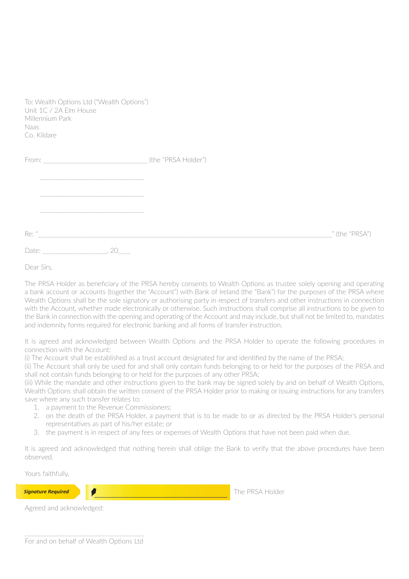| To: Wealth Options Ltd ("Wealth Options")<br>Unit 1C / 2A Elm House<br>Millennium Park<br><b>Naas</b><br>Co. Kildare |                     |                |
|----------------------------------------------------------------------------------------------------------------------|---------------------|----------------|
|                                                                                                                      | (the "PRSA Holder") |                |
| Re: "                                                                                                                |                     | " (the "PRSA") |
| Date:<br>20                                                                                                          |                     |                |

Dear Sirs,

The PRSA Holder as beneficiary of the PRSA hereby consents to Wealth Options as trustee solely opening and operating a bank account or accounts (together the "Account") with Bank of Ireland (the "Bank") for the purposes of the PRSA where Wealth Options shall be the sole signatory or authorising party in respect of transfers and other instructions in connection with the Account, whether made electronically or otherwise. Such instructions shall comprise all instructions to be given to the Bank in connection with the opening and operating of the Account and may include, but shall not be limited to, mandates and indemnity forms required for electronic banking and all forms of transfer instruction.

It is agreed and acknowledged between Wealth Options and the PRSA Holder to operate the following procedures in connection with the Account:

(i) The Account shall be established as a trust account designated for and identified by the name of the PRSA;

(ii) The Account shall only be used for and shall only contain funds belonging to or held for the purposes of the PRSA and shall not contain funds belonging to or held for the purposes of any other PRSA;

(iii) While the mandate and other instructions given to the bank may be signed solely by and on behalf of Wealth Options, Wealth Options shall obtain the written consent of the PRSA Holder prior to making or issuing instructions for any transfers save where any such transfer relates to:

- 1. a payment to the Revenue Commissioners;
- 2. on the death of the PRSA Holder, a payment that is to be made to or as directed by the PRSA Holder's personal representatives as part of his/her estate; or
- 3. the payment is in respect of any fees or expenses of Wealth Options that have not been paid when due.

It is agreed and acknowledged that nothing herein shall oblige the Bank to verify that the above procedures have been observed.

Yours faithfully,

*Signature Required*

**The PRSA Holder** 

Agreed and acknowledged: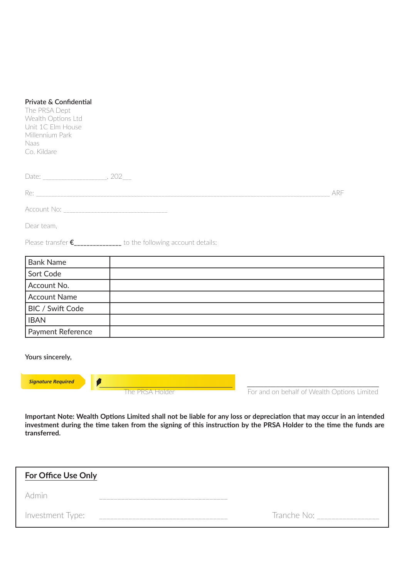| Private & Confidential<br>The PRSA Dept<br>Wealth Options Ltd<br>Unit 1C Elm House<br>Millennium Park<br><b>Naas</b><br>Co. Kildare |                                                                   |                                             |
|-------------------------------------------------------------------------------------------------------------------------------------|-------------------------------------------------------------------|---------------------------------------------|
|                                                                                                                                     |                                                                   |                                             |
|                                                                                                                                     |                                                                   | ARE                                         |
|                                                                                                                                     |                                                                   |                                             |
| Dear team,                                                                                                                          |                                                                   |                                             |
|                                                                                                                                     | Please transfer €______________ to the following account details: |                                             |
| <b>Bank Name</b>                                                                                                                    |                                                                   |                                             |
| Sort Code                                                                                                                           |                                                                   |                                             |
| Account No.                                                                                                                         |                                                                   |                                             |
| <b>Account Name</b>                                                                                                                 |                                                                   |                                             |
| <b>BIC / Swift Code</b>                                                                                                             |                                                                   |                                             |
| <b>IBAN</b>                                                                                                                         |                                                                   |                                             |
| Payment Reference                                                                                                                   |                                                                   |                                             |
| Yours sincerely,<br><b>Signature Required</b><br>P                                                                                  |                                                                   |                                             |
|                                                                                                                                     | The PRSA Holder                                                   | For and on behalf of Wealth Options Limited |
|                                                                                                                                     |                                                                   |                                             |

**Important Note: Wealth Options Limited shall not be liable for any loss or depreciation that may occur in an intended investment during the time taken from the signing of this instruction by the PRSA Holder to the time the funds are transferred.**

| <b>For Office Use Only</b> |                                      |
|----------------------------|--------------------------------------|
| Admin                      |                                      |
| Investment Type:           | Tranche No:<br>_____________________ |